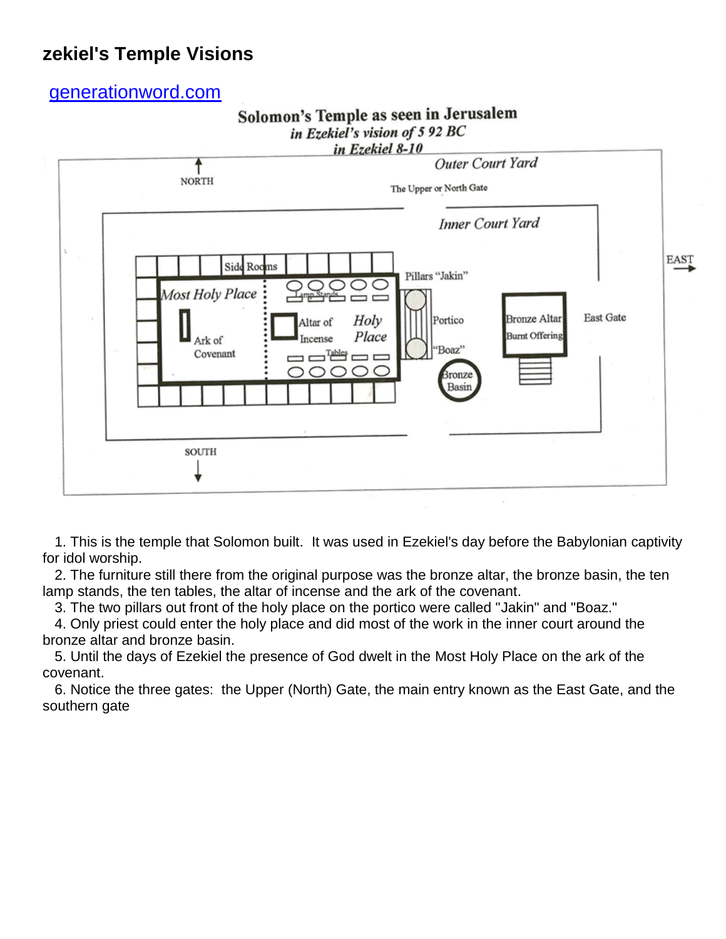## **zekiel's Temple Visions**

[generationword.com](http://www.generationword.com/)





 1. This is the temple that Solomon built. It was used in Ezekiel's day before the Babylonian captivity for idol worship.

 2. The furniture still there from the original purpose was the bronze altar, the bronze basin, the ten lamp stands, the ten tables, the altar of incense and the ark of the covenant.

3. The two pillars out front of the holy place on the portico were called "Jakin" and "Boaz."

 4. Only priest could enter the holy place and did most of the work in the inner court around the bronze altar and bronze basin.

 5. Until the days of Ezekiel the presence of God dwelt in the Most Holy Place on the ark of the covenant.

 6. Notice the three gates: the Upper (North) Gate, the main entry known as the East Gate, and the southern gate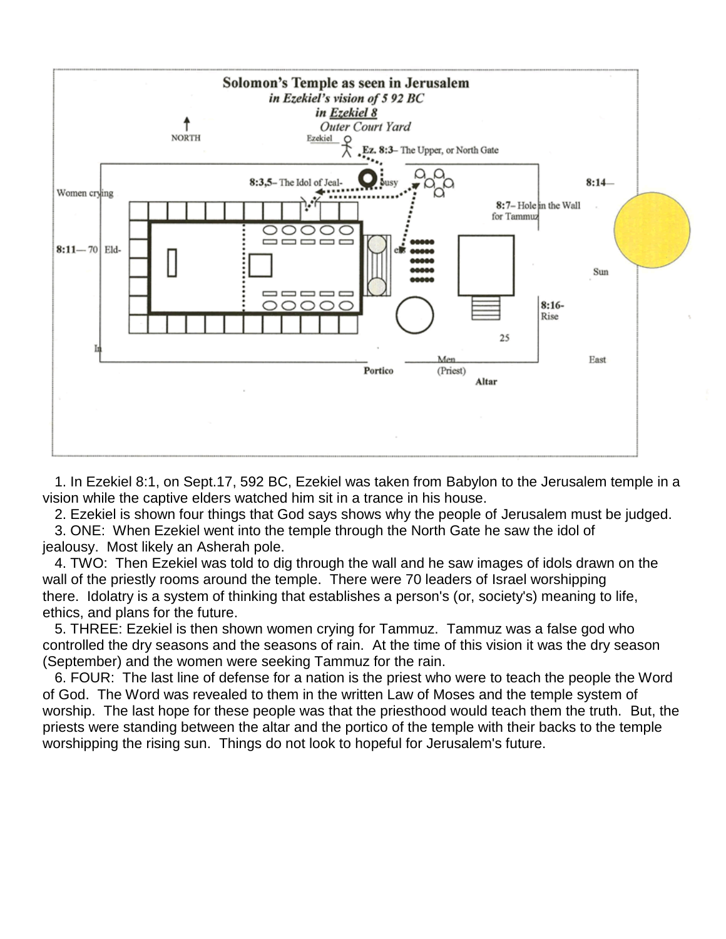

 1. In Ezekiel 8:1, on Sept.17, 592 BC, Ezekiel was taken from Babylon to the Jerusalem temple in a vision while the captive elders watched him sit in a trance in his house.

2. Ezekiel is shown four things that God says shows why the people of Jerusalem must be judged.

 3. ONE: When Ezekiel went into the temple through the North Gate he saw the idol of jealousy. Most likely an Asherah pole.

 4. TWO: Then Ezekiel was told to dig through the wall and he saw images of idols drawn on the wall of the priestly rooms around the temple. There were 70 leaders of Israel worshipping there. Idolatry is a system of thinking that establishes a person's (or, society's) meaning to life, ethics, and plans for the future.

 5. THREE: Ezekiel is then shown women crying for Tammuz. Tammuz was a false god who controlled the dry seasons and the seasons of rain. At the time of this vision it was the dry season (September) and the women were seeking Tammuz for the rain.

 6. FOUR: The last line of defense for a nation is the priest who were to teach the people the Word of God. The Word was revealed to them in the written Law of Moses and the temple system of worship. The last hope for these people was that the priesthood would teach them the truth. But, the priests were standing between the altar and the portico of the temple with their backs to the temple worshipping the rising sun. Things do not look to hopeful for Jerusalem's future.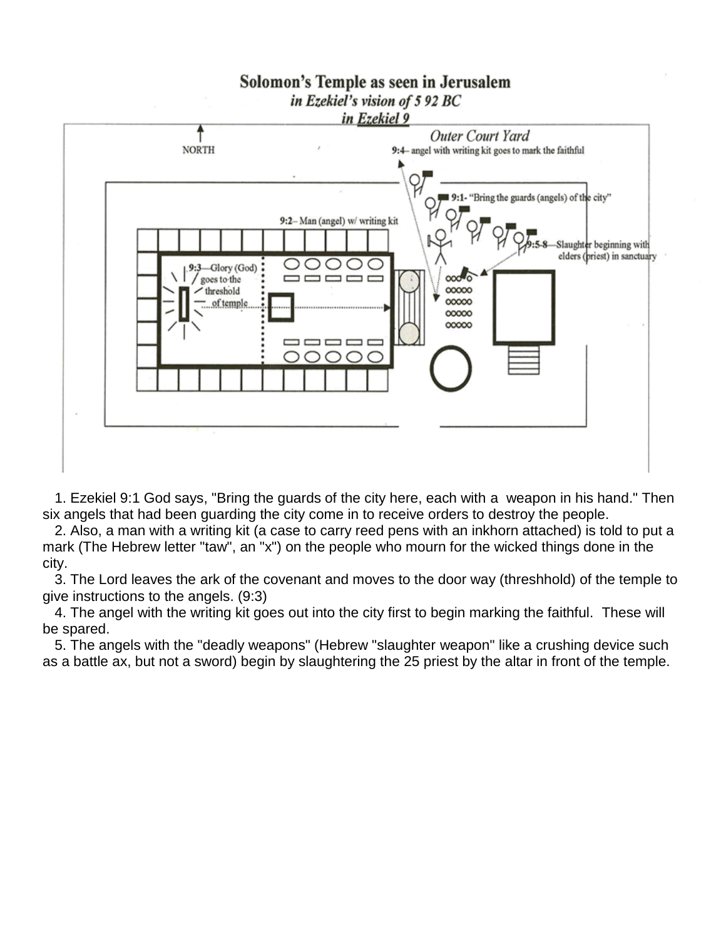

 1. Ezekiel 9:1 God says, "Bring the guards of the city here, each with a weapon in his hand." Then six angels that had been guarding the city come in to receive orders to destroy the people.

 2. Also, a man with a writing kit (a case to carry reed pens with an inkhorn attached) is told to put a mark (The Hebrew letter "taw", an "x") on the people who mourn for the wicked things done in the city.

 3. The Lord leaves the ark of the covenant and moves to the door way (threshhold) of the temple to give instructions to the angels. (9:3)

 4. The angel with the writing kit goes out into the city first to begin marking the faithful. These will be spared.

 5. The angels with the "deadly weapons" (Hebrew "slaughter weapon" like a crushing device such as a battle ax, but not a sword) begin by slaughtering the 25 priest by the altar in front of the temple.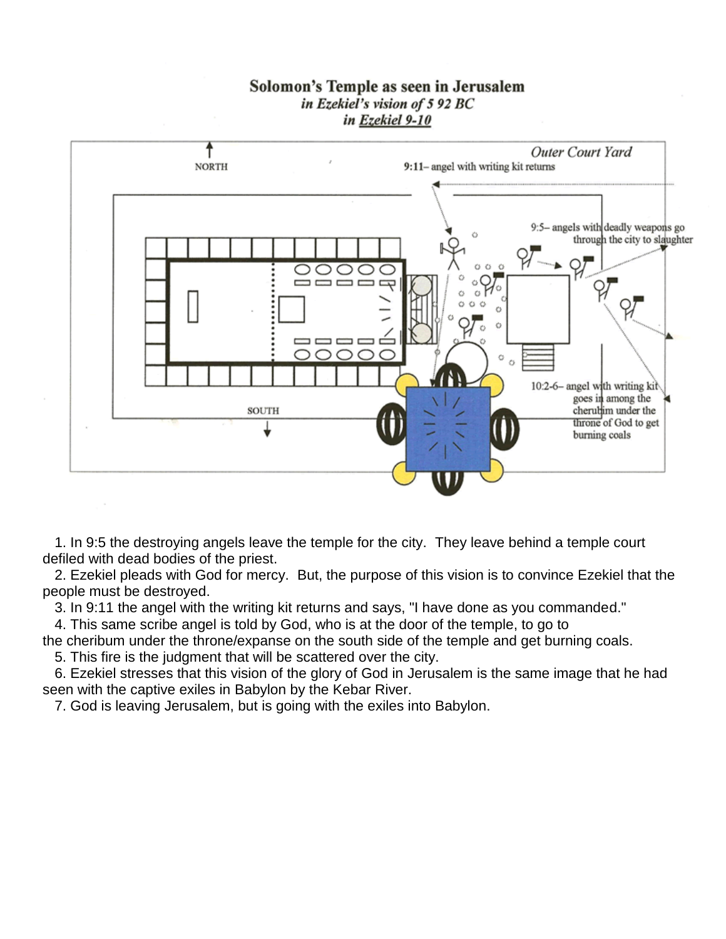## Solomon's Temple as seen in Jerusalem in Ezekiel's vision of 5 92 BC in Ezekiel 9-10



 1. In 9:5 the destroying angels leave the temple for the city. They leave behind a temple court defiled with dead bodies of the priest.

 2. Ezekiel pleads with God for mercy. But, the purpose of this vision is to convince Ezekiel that the people must be destroyed.

3. In 9:11 the angel with the writing kit returns and says, "I have done as you commanded."

4. This same scribe angel is told by God, who is at the door of the temple, to go to

the cheribum under the throne/expanse on the south side of the temple and get burning coals.

5. This fire is the judgment that will be scattered over the city.

6. Ezekiel stresses that this vision of the glory of God in Jerusalem is the same image that he had seen with the captive exiles in Babylon by the Kebar River.

7. God is leaving Jerusalem, but is going with the exiles into Babylon.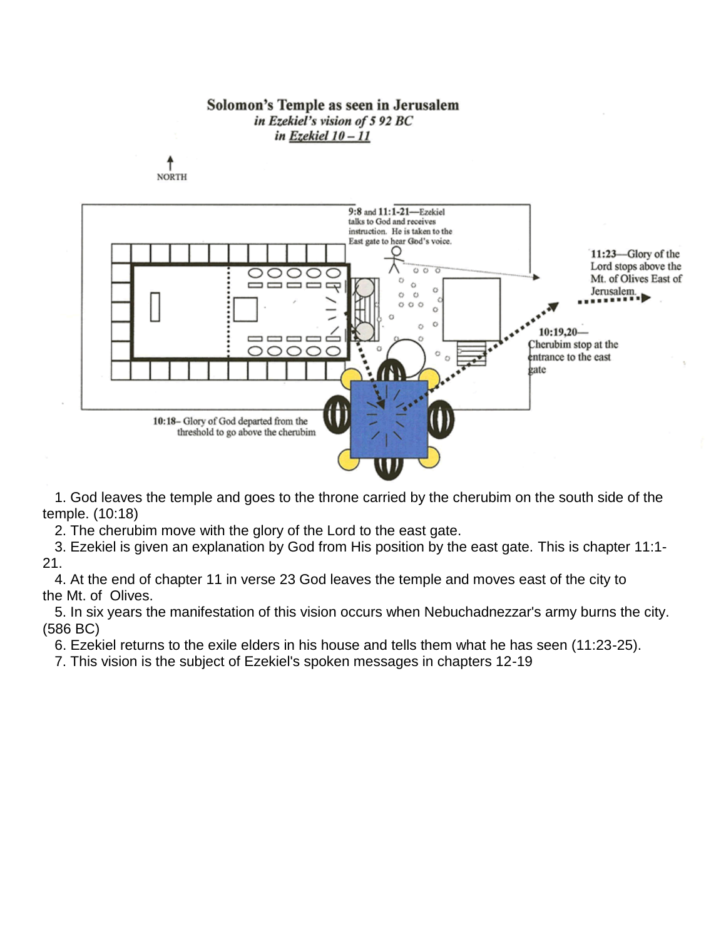

 1. God leaves the temple and goes to the throne carried by the cherubim on the south side of the temple. (10:18)

2. The cherubim move with the glory of the Lord to the east gate.

 3. Ezekiel is given an explanation by God from His position by the east gate. This is chapter 11:1- 21.

 4. At the end of chapter 11 in verse 23 God leaves the temple and moves east of the city to the Mt. of Olives.

 5. In six years the manifestation of this vision occurs when Nebuchadnezzar's army burns the city. (586 BC)

6. Ezekiel returns to the exile elders in his house and tells them what he has seen (11:23-25).

7. This vision is the subject of Ezekiel's spoken messages in chapters 12-19